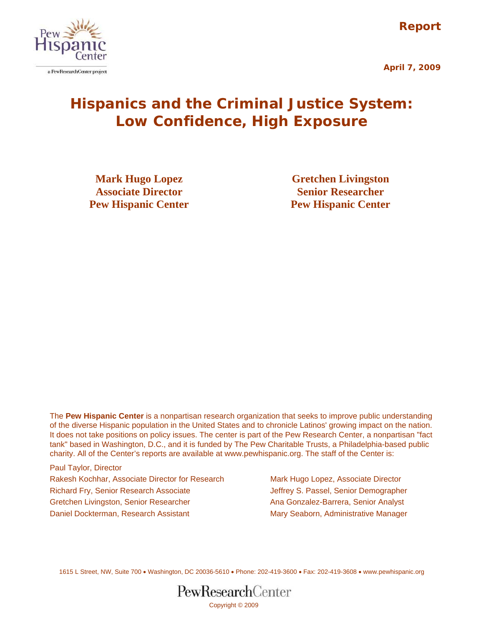**Report** 





# **Hispanics and the Criminal Justice System: Low Confidence, High Exposure**

**Associate Director Senior Researcher Pew Hispanic Center 1986 Pew Hispanic Center** 

**Mark Hugo Lopez Gretchen Livingston** 

The **Pew Hispanic Center** is a nonpartisan research organization that seeks to improve public understanding of the diverse Hispanic population in the United States and to chronicle Latinos' growing impact on the nation. It does not take positions on policy issues. The center is part of the Pew Research Center, a nonpartisan "fact tank" based in Washington, D.C., and it is funded by The Pew Charitable Trusts, a Philadelphia-based public charity. All of the Center's reports are available at www.pewhispanic.org. The staff of the Center is:

Paul Taylor, Director Rakesh Kochhar, Associate Director for Research Mark Hugo Lopez, Associate Director Richard Fry, Senior Research Associate **Jeffrey S. Passel, Senior Demographer** Gretchen Livingston, Senior Researcher Anames Ana Gonzalez-Barrera, Senior Analyst Daniel Dockterman, Research Assistant Mary Seaborn, Administrative Manager

1615 L Street, NW, Suite 700 • Washington, DC 20036-5610 • Phone: 202-419-3600 • Fax: 202-419-3608 • www.pewhispanic.org

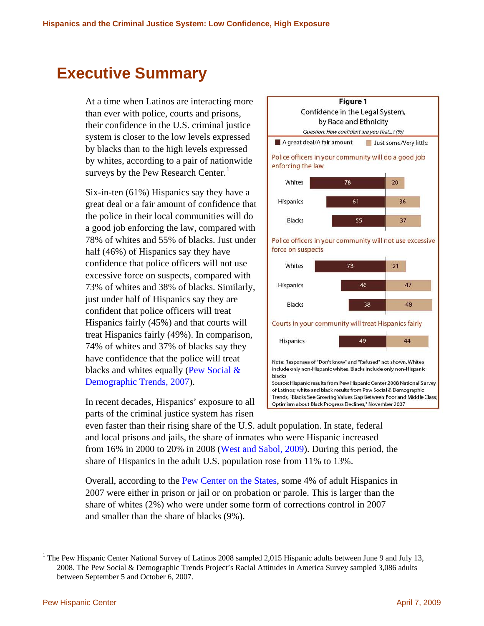# <span id="page-1-1"></span>**Executive Summary**

At a time when Latinos are interacting more than ever with police, courts and prisons, their confidence in the U.S. criminal justice system is closer to the low levels expressed by blacks than to the high levels expressed by whites, according to a pair of nationwide surveys by the Pew Research Center. $<sup>1</sup>$  $<sup>1</sup>$  $<sup>1</sup>$ </sup>

Six-in-ten (61%) Hispanics say they have a great deal or a fair amount of confidence that the police in their local communities will do a good job enforcing the law, compared with 78% of whites and 55% of blacks. Just under half (46%) of Hispanics say they have confidence that police officers will not use excessive force on suspects, compared with 73% of whites and 38% of blacks. Similarly, just under half of Hispanics say they are confident that police officers will treat Hispanics fairly (45%) and that courts will treat Hispanics fairly (49%). In comparison, 74% of whites and 37% of blacks say they have confidence that the police will treat blacks and whites equally ([Pew Social &](http://pewsocialtrends.org/assets/pdf/Race.pdf) [Demographic Trends, 2007\)](http://pewsocialtrends.org/assets/pdf/Race.pdf).

In recent decades, Hispanics' exposure to all parts of the criminal justice system has risen



even faster than their rising share of the U.S. adult population. In state, federal and local prisons and jails, the share of inmates who were Hispanic increased from 16% in 2000 to 20% in 2008 [\(West and Sabol, 2009\)](http://www.ojp.usdoj.gov/bjs/pub/pdf/pim08st.pdf). During this period, the share of Hispanics in the adult U.S. population rose from 11% to 13%.

Overall, according to the [Pew Center on the States](http://www.pewcenteronthestates.org/uploadedFiles/PSPP_1in31_report_FINAL_WEB_3-26-09.pdf), some 4% of adult Hispanics in 2007 were either in prison or jail or on probation or parole. This is larger than the share of whites (2%) who were under some form of corrections control in 2007 and smaller than the share of blacks (9%).

<span id="page-1-0"></span><sup>&</sup>lt;sup>1</sup> The Pew Hispanic Center National Survey of Latinos 2008 sampled 2,015 Hispanic adults between June 9 and July 13, 2008. The Pew Social & Demographic Trends Project's Racial Attitudes in America Survey sampled 3,086 adults between September 5 and October 6, 2007.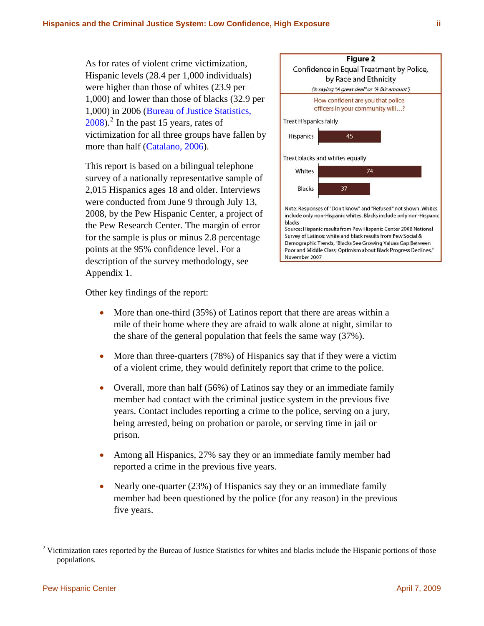As for rates of violent crime victimization, Hispanic levels (28.4 per 1,000 individuals) were higher than those of whites (23.9 per 1,000) and lower than those of blacks (32.9 per 1,000) in 2006 [\(Bureau of Justice Statistics,](http://www.ojp.usdoj.gov/bjs/pub/pdf/cvus06.pdf)   $2008$ ).<sup>[2](#page-2-0)</sup> In the past 15 years, rates of victimization for all three groups have fallen by more than half ([Catalano, 2006\)](http://www.ojp.usdoj.gov/bjs/pub/pdf/cv05.pdf).

This report is based on a bilingual telephone survey of a nationally representative sample of 2,015 Hispanics ages 18 and older. Interviews were conducted from June 9 through July 13, 2008, by the Pew Hispanic Center, a project of the Pew Research Center. The margin of error for the sample is plus or minus 2.8 percentage points at the 95% confidence level. For a description of the survey methodology, see Appendix 1.



Other key findings of the report:

- More than one-third (35%) of Latinos report that there are areas within a mile of their home where they are afraid to walk alone at night, similar to the share of the general population that feels the same way (37%).
- More than three-quarters (78%) of Hispanics say that if they were a victim of a violent crime, they would definitely report that crime to the police.
- Overall, more than half (56%) of Latinos say they or an immediate family member had contact with the criminal justice system in the previous five years. Contact includes reporting a crime to the police, serving on a jury, being arrested, being on probation or parole, or serving time in jail or prison.
- Among all Hispanics, 27% say they or an immediate family member had reported a crime in the previous five years.
- Nearly one-quarter (23%) of Hispanics say they or an immediate family member had been questioned by the police (for any reason) in the previous five years.

<span id="page-2-0"></span><sup>&</sup>lt;sup>2</sup> Victimization rates reported by the Bureau of Justice Statistics for whites and blacks include the Hispanic portions of those populations.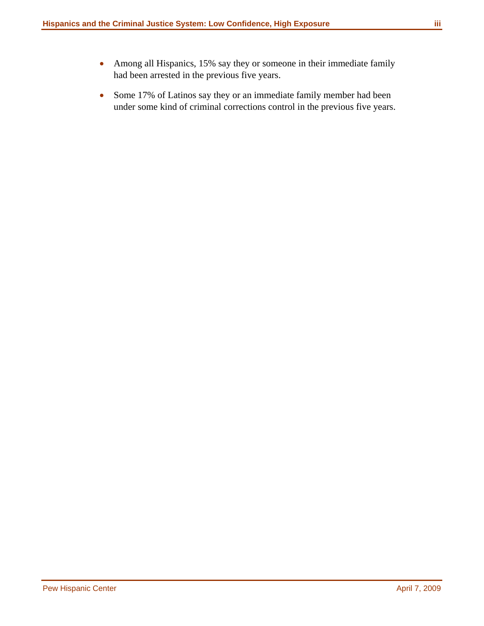- 
- Among all Hispanics, 15% say they or someone in their immediate family had been arrested in the previous five years.
- Some 17% of Latinos say they or an immediate family member had been under some kind of criminal corrections control in the previous five years.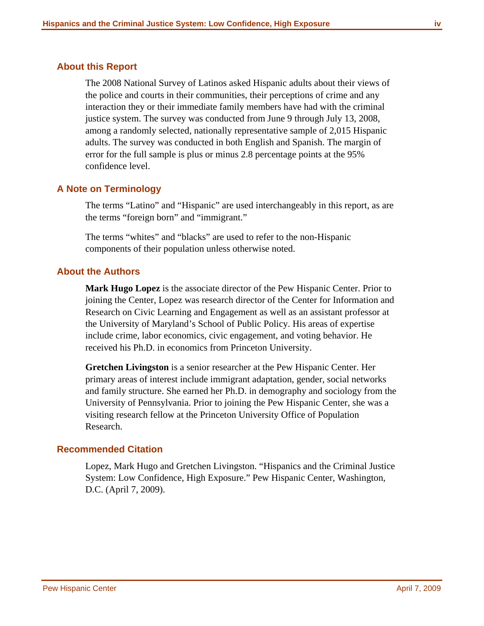### <span id="page-4-0"></span>**About this Report**

The 2008 National Survey of Latinos asked Hispanic adults about their views of the police and courts in their communities, their perceptions of crime and any interaction they or their immediate family members have had with the criminal justice system. The survey was conducted from June 9 through July 13, 2008, among a randomly selected, nationally representative sample of 2,015 Hispanic adults. The survey was conducted in both English and Spanish. The margin of error for the full sample is plus or minus 2.8 percentage points at the 95% confidence level.

### **A Note on Terminology**

The terms "Latino" and "Hispanic" are used interchangeably in this report, as are the terms "foreign born" and "immigrant."

The terms "whites" and "blacks" are used to refer to the non-Hispanic components of their population unless otherwise noted.

#### **About the Authors**

**Mark Hugo Lopez** is the associate director of the Pew Hispanic Center. Prior to joining the Center, Lopez was research director of the Center for Information and Research on Civic Learning and Engagement as well as an assistant professor at the University of Maryland's School of Public Policy. His areas of expertise include crime, labor economics, civic engagement, and voting behavior. He received his Ph.D. in economics from Princeton University.

**Gretchen Livingston** is a senior researcher at the Pew Hispanic Center. Her primary areas of interest include immigrant adaptation, gender, social networks and family structure. She earned her Ph.D. in demography and sociology from the University of Pennsylvania. Prior to joining the Pew Hispanic Center, she was a visiting research fellow at the Princeton University Office of Population Research.

#### **Recommended Citation**

Lopez, Mark Hugo and Gretchen Livingston. "Hispanics and the Criminal Justice System: Low Confidence, High Exposure." Pew Hispanic Center, Washington, D.C. (April 7, 2009).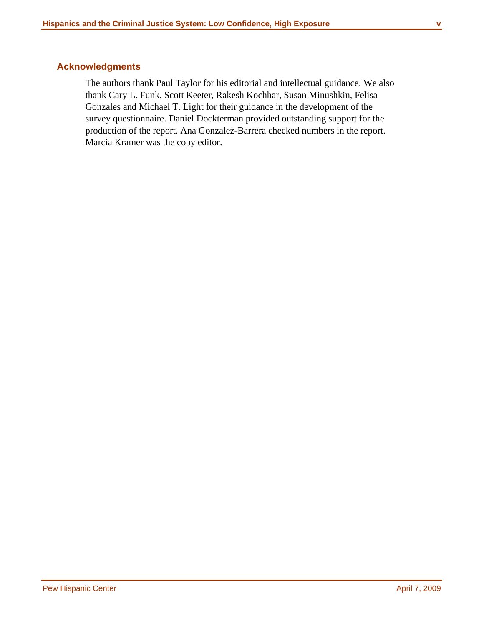### <span id="page-5-0"></span>**Acknowledgments**

The authors thank Paul Taylor for his editorial and intellectual guidance. We also thank Cary L. Funk, Scott Keeter, Rakesh Kochhar, Susan Minushkin, Felisa Gonzales and Michael T. Light for their guidance in the development of the survey questionnaire. Daniel Dockterman provided outstanding support for the production of the report. Ana Gonzalez-Barrera checked numbers in the report. Marcia Kramer was the copy editor.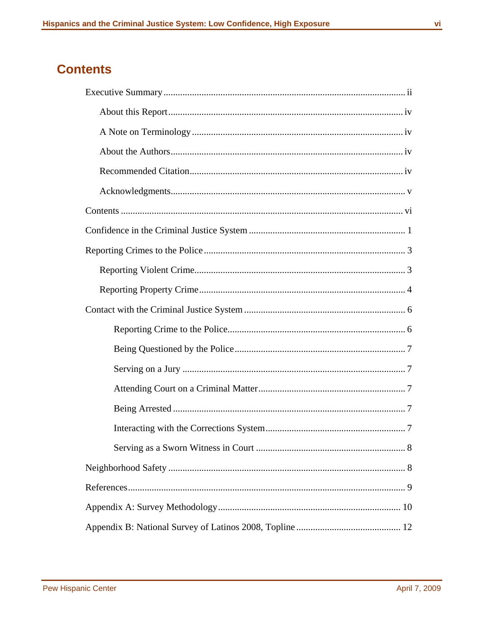### <span id="page-6-0"></span>**Contents**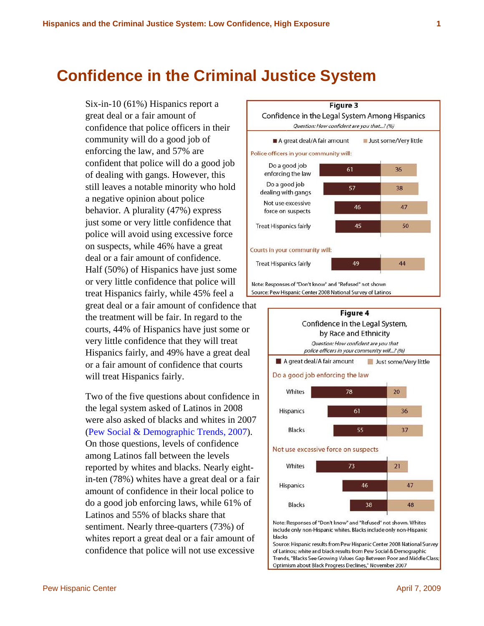# <span id="page-7-0"></span>**Confidence in the Criminal Justice System**

Six-in-10 (61%) Hispanics report a great deal or a fair amount of confidence that police officers in their community will do a good job of enforcing the law, and 57% are confident that police will do a good job of dealing with gangs. However, this still leaves a notable minority who hold a negative opinion about police behavior. A plurality (47%) express just some or very little confidence that police will avoid using excessive force on suspects, while 46% have a great deal or a fair amount of confidence. Half (50%) of Hispanics have just some or very little confidence that police will treat Hispanics fairly, while 45% feel a great deal or a fair amount of confidence that the treatment will be fair. In regard to the courts, 44% of Hispanics have just some or very little confidence that they will treat Hispanics fairly, and 49% have a great deal or a fair amount of confidence that courts will treat Hispanics fairly.

Two of the five questions about confidence in the legal system asked of Latinos in 2008 were also asked of blacks and whites in 2007 ([Pew Social & Demographic Trends, 2007\)](http://pewsocialtrends.org/assets/pdf/Race.pdf). On those questions, levels of confidence among Latinos fall between the levels reported by whites and blacks. Nearly eightin-ten (78%) whites have a great deal or a fair amount of confidence in their local police to do a good job enforcing laws, while 61% of Latinos and 55% of blacks share that sentiment. Nearly three-quarters (73%) of whites report a great deal or a fair amount of confidence that police will not use excessive





of Latinos; white and black results from Pew Social & Demographic Trends, "Blacks See Growing Values Gap Between Poor and Middle Class Optimism about Black Progress Declines," November 2007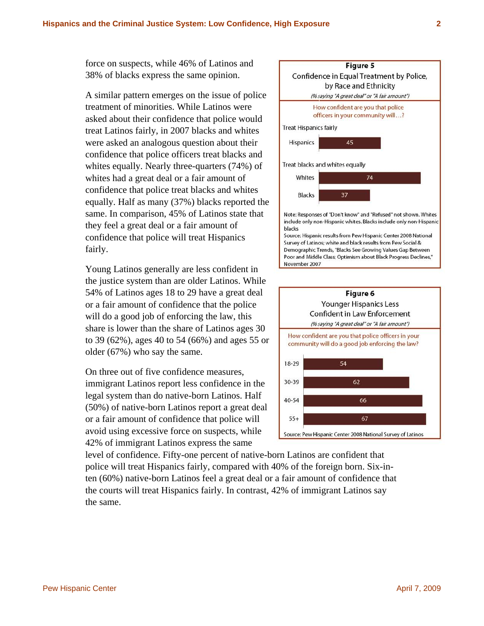force on suspects, while 46% of Latinos and 38% of blacks express the same opinion.

A similar pattern emerges on the issue of police whites equally. Nearly three-quarters (74%) of same. In comparison, 45% of Latinos state that confidence that police will treat Hispanics treatment of minorities. While Latinos were asked about their confidence that police would treat Latinos fairly, in 2007 blacks and whites were asked an analogous question about their confidence that police officers treat blacks and whites had a great deal or a fair amount of confidence that police treat blacks and whites equally. Half as many (37%) blacks reported the they feel a great deal or a fair amount of fairly.

54% of Latinos ages 18 to 29 have a great deal to 39 (62%), ages 40 to 54 (66%) and ages 55 or Young Latinos generally are less confident in the justice system than are older Latinos. While or a fair amount of confidence that the police will do a good job of enforcing the law, this share is lower than the share of Latinos ages 30 older (67%) who say the same.

(50%) of native-born Latinos report a great deal avoid using excessive force on suspects, while On three out of five confidence measures, immigrant Latinos report less confidence in the legal system than do native-born Latinos. Half or a fair amount of confidence that police will 42% of immigrant Latinos express the same

ten (60%) native-born Latinos feel a great deal or a fair amount of confidence that the courts will treat Hispanics fairly. In contrast, 42% of immigrant Latinos say the same. level of confidence. Fifty-one percent of native-born Latinos are confident that police will treat Hispanics fairly, compared with 40% of the foreign born. Six-in-



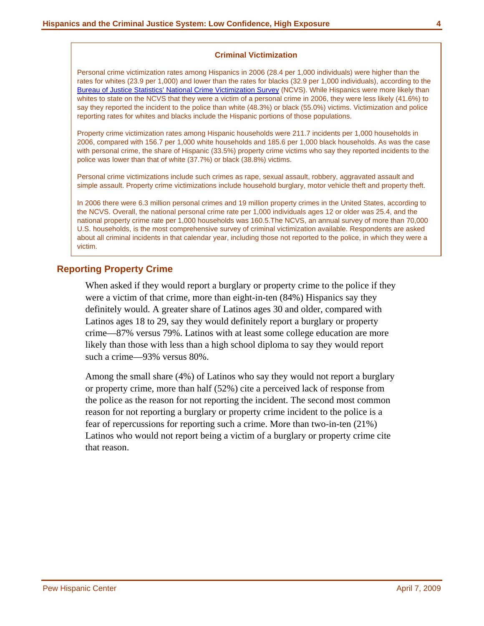#### **Criminal Victimization**

<span id="page-10-0"></span>Personal crime victimization rates among Hispanics in 2006 (28.4 per 1,000 individuals) were higher than the rates for whites (23.9 per 1,000) and lower than the rates for blacks (32.9 per 1,000 individuals), according to the [Bureau of Justice Statistics' National Crime Victimization Survey](http://www.ojp.usdoj.gov/bjs/pub/pdf/cvus06.pdf) (NCVS). While Hispanics were more likely than whites to state on the NCVS that they were a victim of a personal crime in 2006, they were less likely (41.6%) to say they reported the incident to the police than white (48.3%) or black (55.0%) victims. Victimization and police reporting rates for whites and blacks include the Hispanic portions of those populations.

Property crime victimization rates among Hispanic households were 211.7 incidents per 1,000 households in 2006, compared with 156.7 per 1,000 white households and 185.6 per 1,000 black households. As was the case with personal crime, the share of Hispanic (33.5%) property crime victims who say they reported incidents to the police was lower than that of white (37.7%) or black (38.8%) victims.

Personal crime victimizations include such crimes as rape, sexual assault, robbery, aggravated assault and simple assault. Property crime victimizations include household burglary, motor vehicle theft and property theft.

In 2006 there were 6.3 million personal crimes and 19 million property crimes in the United States, according to the NCVS. Overall, the national personal crime rate per 1,000 individuals ages 12 or older was 25.4, and the national property crime rate per 1,000 households was 160.5.The NCVS, an annual survey of more than 70,000 U.S. households, is the most comprehensive survey of criminal victimization available. Respondents are asked about all criminal incidents in that calendar year, including those not reported to the police, in which they were a victim.

#### **Re porting Property Crime**

When asked if they would report a burglary or property crime to the police if they were a victim of that crime, more than eight-in-ten (84%) Hispanics say they definitely would. A greater share of Latinos ages 30 and older, compared with Latinos ages 18 to 29, say they would definitely report a burglary or property crime—87% versus 79%. Latinos with at least some college education are more likely than those with less than a high school diploma to say they would report such a crime—93% versus 80%.

Among the small share (4%) of Latinos who say they would not report a burglary Latinos who would not report being a victim of a burglary or property crime cite or property crime, more than half (52%) cite a perceived lack of response from the police as the reason for not reporting the incident. The second most common reason for not reporting a burglary or property crime incident to the police is a fear of repercussions for reporting such a crime. More than two-in-ten (21%) that reason.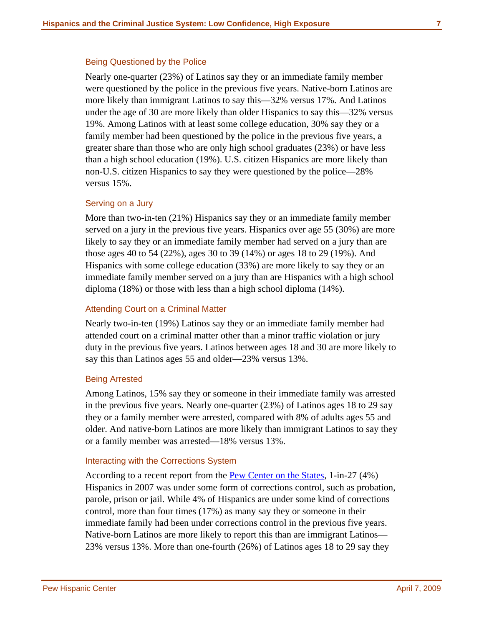#### <span id="page-13-0"></span>Being Questioned by the Police

Nearly one-quarter (23%) of Latinos say they or an immediate family member were questioned by the police in the previous five years. Native-born Latinos are more likely than immigrant Latinos to say this—32% versus 17%. And Latinos under the age of 30 are more likely than older Hispanics to say this—32% versus 19%. Among Latinos with at least some college education, 30% say they or a family member had been questioned by the police in the previous five years, a greater share than those who are only high school graduates (23%) or have less than a high school education (19%). U.S. citizen Hispanics are more likely than non-U.S. citizen Hispanics to say they were questioned by the police—28% versus 15%.

#### Serving on a Jury

More than two-in-ten (21%) Hispanics say they or an immediate family member served on a jury in the previous five years. Hispanics over age 55 (30%) are more likely to say they or an immediate family member had served on a jury than are those ages 40 to 54 (22%), ages 30 to 39 (14%) or ages 18 to 29 (19%). And Hispanics with some college education (33%) are more likely to say they or an immediate family member served on a jury than are Hispanics with a high school diploma (18%) or those with less than a high school diploma (14%).

### Attending Court on a Criminal Matter

Nearly two-in-ten (19%) Latinos say they or an immediate family member had attended court on a criminal matter other than a minor traffic violation or jury duty in the previous five years. Latinos between ages 18 and 30 are more likely to say this than Latinos ages 55 and older—23% versus 13%.

#### Being Arrested

Among Latinos, 15% say they or someone in their immediate family was arrested in the previous five years. Nearly one-quarter (23%) of Latinos ages 18 to 29 say they or a family member were arrested, compared with 8% of adults ages 55 and older. And native-born Latinos are more likely than immigrant Latinos to say they or a family member was arrested—18% versus 13%.

#### Interacting with the Corrections System

According to a recent report from the [Pew Center on the States](http://www.pewcenteronthestates.org/uploadedFiles/PSPP_1in31_report_FINAL_WEB_3-26-09.pdf), 1-in-27 (4%) Hispanics in 2007 was under some form of corrections control, such as probation, parole, prison or jail. While 4% of Hispanics are under some kind of corrections control, more than four times (17%) as many say they or someone in their immediate family had been under corrections control in the previous five years. Native-born Latinos are more likely to report this than are immigrant Latinos— 23% versus 13%. More than one-fourth (26%) of Latinos ages 18 to 29 say they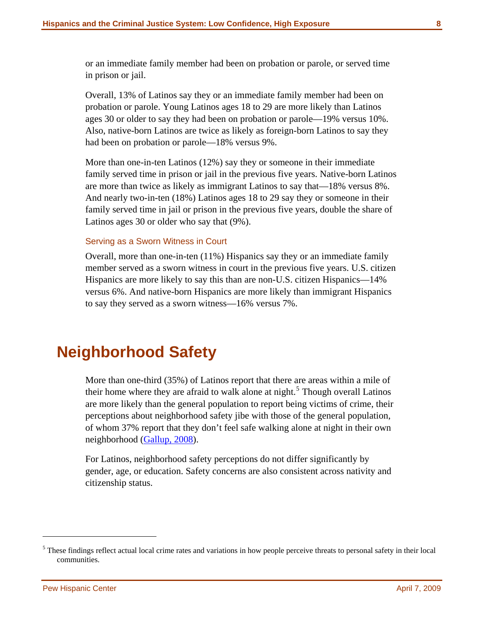<span id="page-14-0"></span>or an immediate family member had been on probation or parole, or served time in prison or jail.

Overall, 13% of Latinos say they or an immediate family member had been on probation or parole. Young Latinos ages 18 to 29 are more likely than Latinos ages 30 or older to say they had been on probation or parole—19% versus 10%. Also, native-born Latinos are twice as likely as foreign-born Latinos to say they had been on probation or parole—18% versus 9%.

More than one-in-ten Latinos (12%) say they or someone in their immediate family served time in prison or jail in the previous five years. Native-born Latinos are more than twice as likely as immigrant Latinos to say that—18% versus 8%. And nearly two-in-ten (18%) Latinos ages 18 to 29 say they or someone in their family served time in jail or prison in the previous five years, double the share of Latinos ages 30 or older who say that (9%).

#### Serving as a Sworn Witness in Court

Overall, more than one-in-ten (11%) Hispanics say they or an immediate family member served as a sworn witness in court in the previous five years. U.S. citizen Hispanics are more likely to say this than are non-U.S. citizen Hispanics—14% versus 6%. And native-born Hispanics are more likely than immigrant Hispanics to say they served as a sworn witness—16% versus 7%.

# **Neighborhood Safety**

More than one-third (35%) of Latinos report that there are areas within a mile of their home where they are afraid to walk alone at night.<sup>[5](#page-14-1)</sup> Though overall Latinos are more likely than the general population to report being victims of crime, their perceptions about neighborhood safety jibe with those of the general population, of whom 37% report that they don't feel safe walking alone at night in their own neighborhood ([Gallup, 2008](http://www.gallup.com/poll/1603/Crime.aspx)).

For Latinos, neighborhood safety perceptions do not differ significantly by gender, age, or education. Safety concerns are also consistent across nativity and citizenship status.

l

<span id="page-14-1"></span><sup>&</sup>lt;sup>5</sup> These findings reflect actual local crime rates and variations in how people perceive threats to personal safety in their local communities.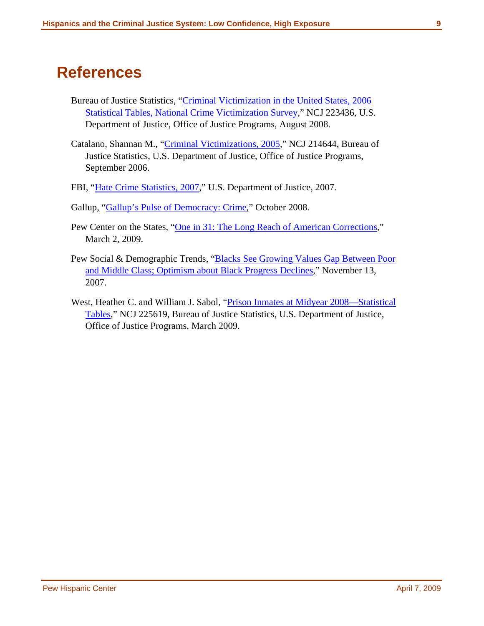# <span id="page-15-0"></span>**References**

- Bureau of Justice Statistics, "[Criminal Victimization in the United States, 2006](http://www.ojp.usdoj.gov/bjs/pub/pdf/cvus06.pdf)  [Statistical Tables, National Crime Victimization Survey,](http://www.ojp.usdoj.gov/bjs/pub/pdf/cvus06.pdf)" NCJ 223436, U.S. Department of Justice, Office of Justice Programs, August 2008.
- Catalano, Shannan M., "[Criminal Victimizations, 2005](http://www.ojp.usdoj.gov/bjs/pub/pdf/cv05.pdf)," NCJ 214644, Bureau of Justice Statistics, U.S. Department of Justice, Office of Justice Programs, September 2006.
- FBI, "[Hate Crime Statistics, 2007](http://www.fbi.gov/ucr/hc2007/table_01.htm)," U.S. Department of Justice, 2007.
- Gallup, ["Gallup's Pulse of Democracy: Crime,](http://www.gallup.com/poll/1603/Crime.aspx)" October 2008.
- Pew Center on the States, ["One in 31: The Long Reach of American Corrections](http://www.pewcenteronthestates.org/uploadedFiles/PSPP_1in31_report_FINAL_WEB_3-26-09.pdf)," March 2, 2009.
- Pew Social & Demographic Trends, "Blacks See Growing Values Gap Between Poor [and Middle Class; Optimism about Black Progress Declines](http://pewsocialtrends.org/assets/pdf/Race.pdf)," November 13, 2007.
- West, Heather C. and William J. Sabol, "Prison Inmates at Midyear 2008—Statistical [Tables,](http://www.ojp.usdoj.gov/bjs/pub/pdf/pim08st.pdf)" NCJ 225619, Bureau of Justice Statistics, U.S. Department of Justice, Office of Justice Programs, March 2009.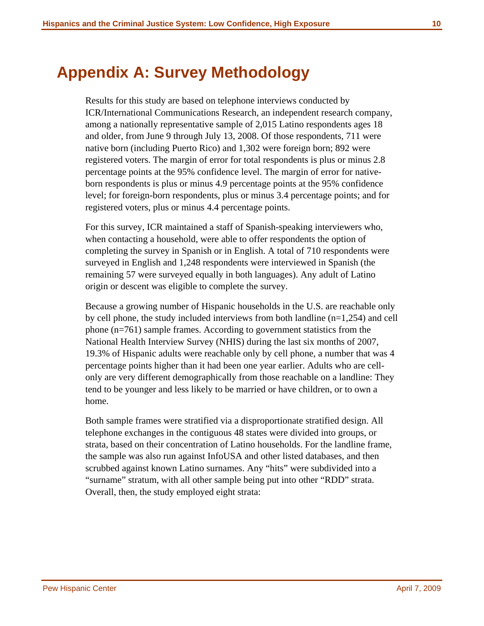# <span id="page-16-0"></span>**Appendix A: Survey Methodology**

Results for this study are based on telephone interviews conducted by ICR/International Communications Research, an independent research company, among a nationally representative sample of 2,015 Latino respondents ages 18 and older, from June 9 through July 13, 2008. Of those respondents, 711 were native born (including Puerto Rico) and 1,302 were foreign born; 892 were registered voters. The margin of error for total respondents is plus or minus 2.8 percentage points at the 95% confidence level. The margin of error for nativeborn respondents is plus or minus 4.9 percentage points at the 95% confidence level; for foreign-born respondents, plus or minus 3.4 percentage points; and for registered voters, plus or minus 4.4 percentage points.

For this survey, ICR maintained a staff of Spanish-speaking interviewers who, when contacting a household, were able to offer respondents the option of completing the survey in Spanish or in English. A total of 710 respondents were surveyed in English and 1,248 respondents were interviewed in Spanish (the remaining 57 were surveyed equally in both languages). Any adult of Latino origin or descent was eligible to complete the survey.

Because a growing number of Hispanic households in the U.S. are reachable only by cell phone, the study included interviews from both landline  $(n=1,254)$  and cell phone (n=761) sample frames. According to government statistics from the National Health Interview Survey (NHIS) during the last six months of 2007, 19.3% of Hispanic adults were reachable only by cell phone, a number that was 4 percentage points higher than it had been one year earlier. Adults who are cellonly are very different demographically from those reachable on a landline: They tend to be younger and less likely to be married or have children, or to own a home.

Both sample frames were stratified via a disproportionate stratified design. All telephone exchanges in the contiguous 48 states were divided into groups, or strata, based on their concentration of Latino households. For the landline frame, the sample was also run against InfoUSA and other listed databases, and then scrubbed against known Latino surnames. Any "hits" were subdivided into a "surname" stratum, with all other sample being put into other "RDD" strata. Overall, then, the study employed eight strata: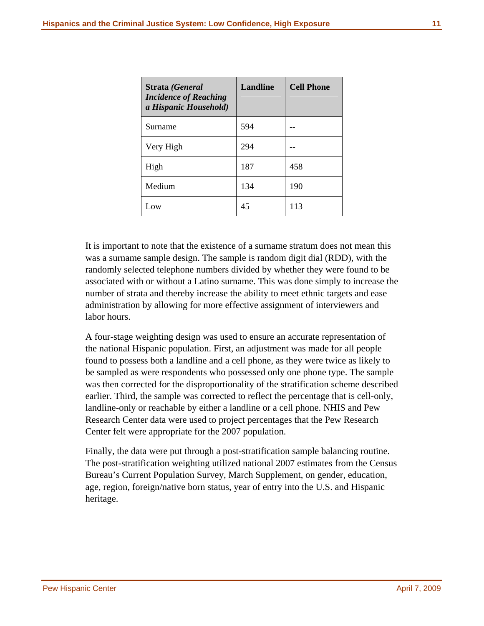| Strata (General<br><b>Incidence of Reaching</b><br>a Hispanic Household) | Landline | <b>Cell Phone</b> |
|--------------------------------------------------------------------------|----------|-------------------|
| Surname                                                                  | 594      |                   |
| Very High                                                                | 294      |                   |
| High                                                                     | 187      | 458               |
| Medium                                                                   | 134      | 190               |
| Low                                                                      | 45       | 113               |

It is important to note that the existence of a surname stratum does not mean this was a surname sample design. The sample is random digit dial (RDD), with the randomly selected telephone numbers divided by whether they were found to be associated with or without a Latino surname. This was done simply to increase the number of strata and thereby increase the ability to meet ethnic targets and ease administration by allowing for more effective assignment of interviewers and labor hours.

A four-stage weighting design was used to ensure an accurate representation of the national Hispanic population. First, an adjustment was made for all people found to possess both a landline and a cell phone, as they were twice as likely to be sampled as were respondents who possessed only one phone type. The sample was then corrected for the disproportionality of the stratification scheme described earlier. Third, the sample was corrected to reflect the percentage that is cell-only, landline-only or reachable by either a landline or a cell phone. NHIS and Pew Research Center data were used to project percentages that the Pew Research Center felt were appropriate for the 2007 population.

Finally, the data were put through a post-stratification sample balancing routine. The post-stratification weighting utilized national 2007 estimates from the Census Bureau's Current Population Survey, March Supplement, on gender, education, age, region, foreign/native born status, year of entry into the U.S. and Hispanic heritage.